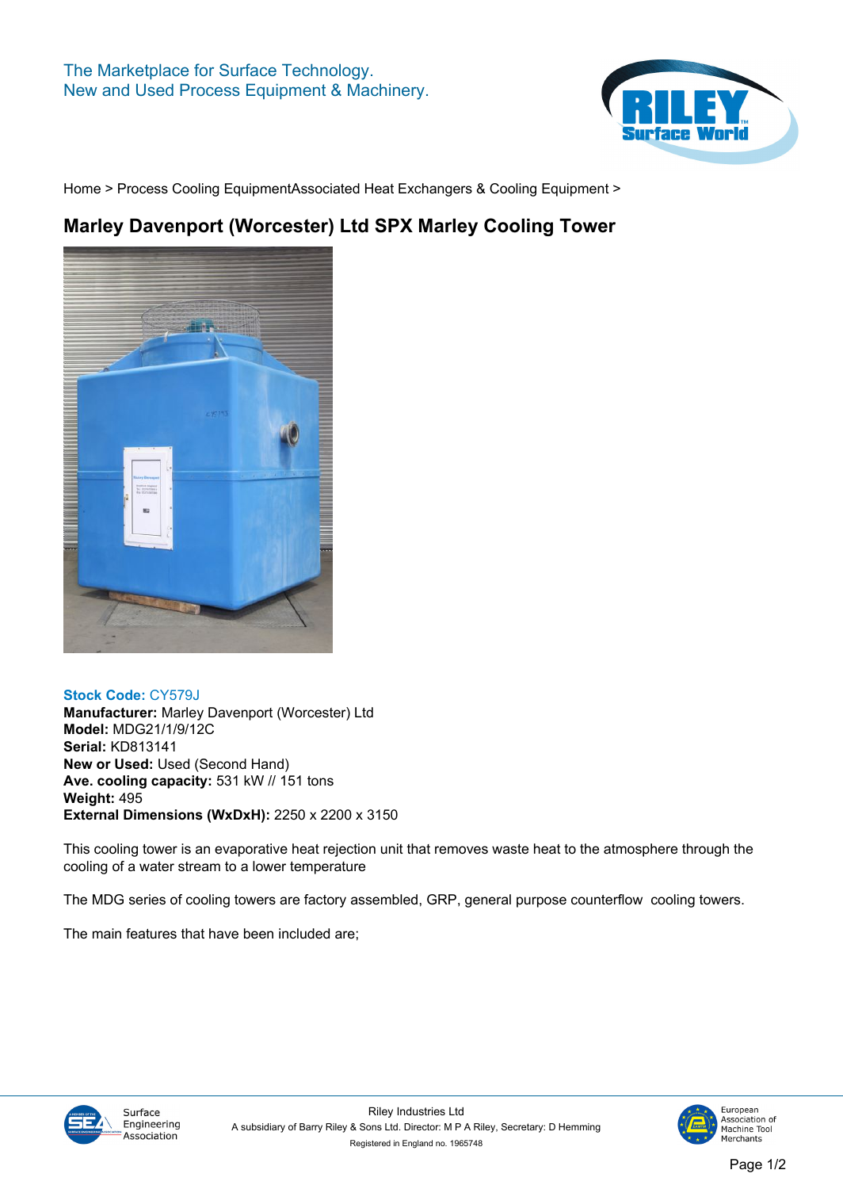

**[Home](https://www.rileysurfaceworld.co.uk) > [Process Cooling Equipment](https://www.rileysurfaceworld.co.uk/process-cooling.asp)[Associated Heat Exchangers & Cooling Equipment](https://www.rileysurfaceworld.co.uk/process-cooling-associated.asp) >**

## **Marley Davenport (Worcester) Ltd SPX Marley Cooling Tower**



## **Stock Code: CY579J**

**Manufacturer: Marley Davenport (Worcester) Ltd Model: MDG21/1/9/12C Serial: KD813141 New or Used: Used (Second Hand) Ave. cooling capacity: 531 kW // 151 tons Weight: 495 External Dimensions (WxDxH): 2250 x 2200 x 3150**

**This cooling tower is an evaporative heat rejection unit that removes waste heat to the atmosphere through the cooling of a water stream to a lower temperature**

**The MDG series of cooling towers are factory assembled, GRP, general purpose counterflow cooling towers.**

**The main features that have been included are;**